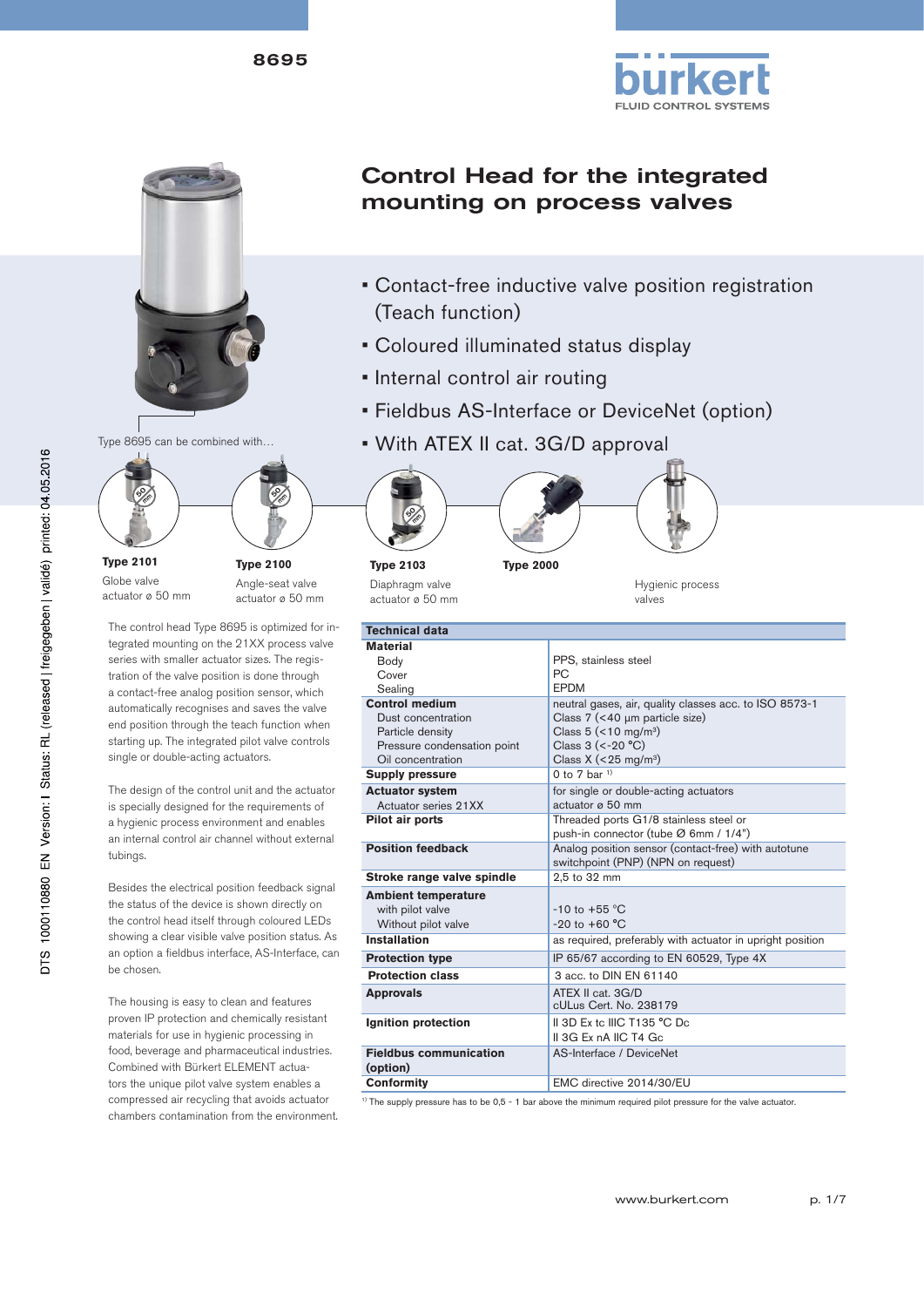



Type 8695 can be combined with…



**Type 2101** Globe valve actuator ø 50 mm **Type 2100** Angle-seat valve actuator ø 50 mm

**S** 

The control head Type 8695 is optimized for integrated mounting on the 21XX process valve series with smaller actuator sizes. The registration of the valve position is done through a contact-free analog position sensor, which automatically recognises and saves the valve end position through the teach function when starting up. The integrated pilot valve controls single or double-acting actuators.

The design of the control unit and the actuator is specially designed for the requirements of a hygienic process environment and enables an internal control air channel without external tubings.

Besides the electrical position feedback signal the status of the device is shown directly on the control head itself through coloured LEDs showing a clear visible valve position status. As an option a fieldbus interface, AS-Interface, can be chosen.

The housing is easy to clean and features proven IP protection and chemically resistant materials for use in hygienic processing in food, beverage and pharmaceutical industries. Combined with Bürkert ELEMENT actuators the unique pilot valve system enables a compressed air recycling that avoids actuator chambers contamination from the environment.

# Control Head for the integrated mounting on process valves

- Contact-free inductive valve position registration (Teach function)
- Coloured illuminated status display
- Internal control air routing
- Fieldbus AS-Interface or DeviceNet (option)
- With ATEX II cat. 3G/D approval



Diaphragm valve



<sup>1)</sup> The supply pressure has to be 0,5 - 1 bar above the minimum required pilot pressure for the valve actuator.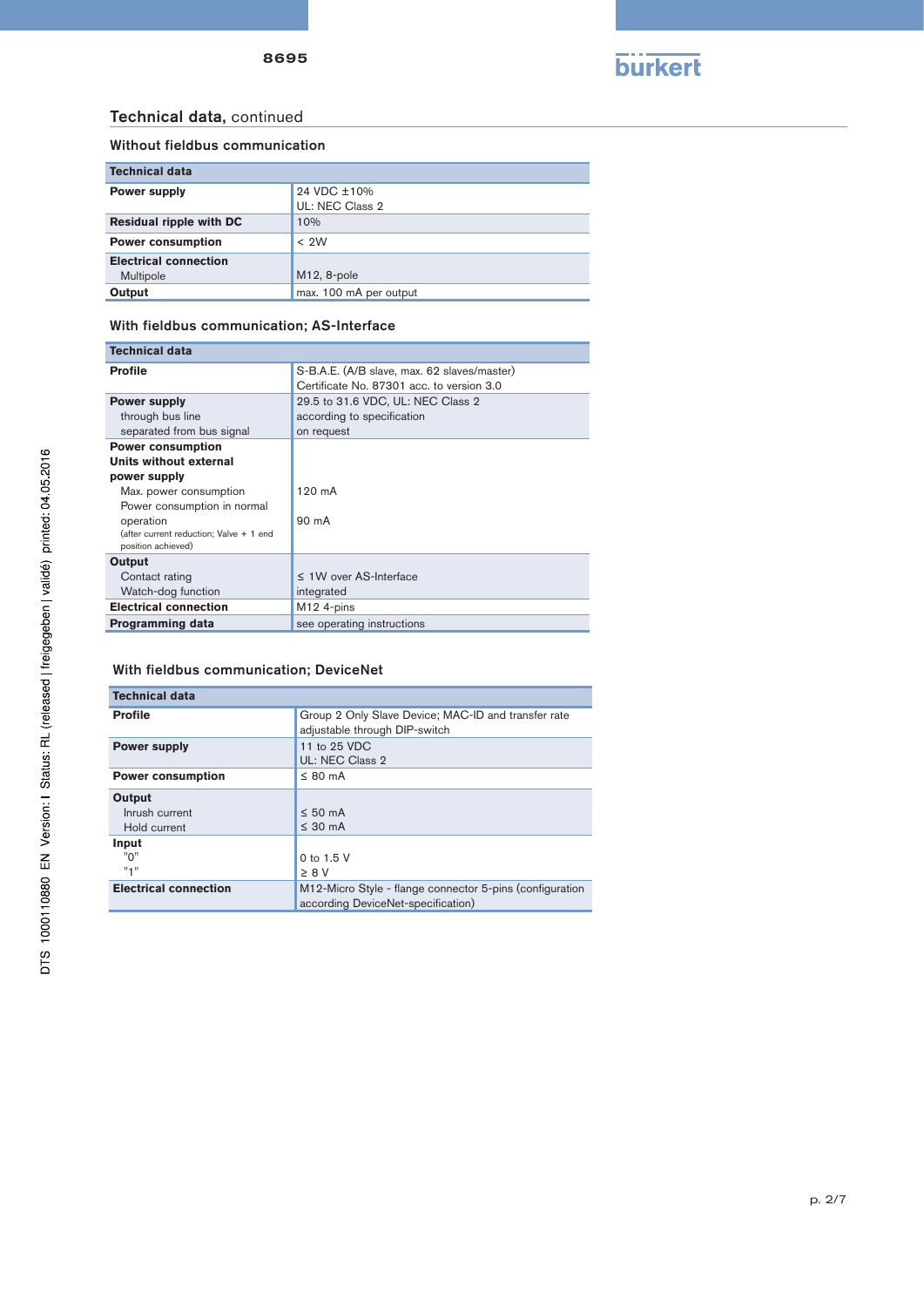

# Technical data, continued

#### Without fieldbus communication

| <b>Technical data</b>                     |                                |  |
|-------------------------------------------|--------------------------------|--|
| <b>Power supply</b>                       | 24 VDC ±10%<br>UL: NEC Class 2 |  |
| <b>Residual ripple with DC</b>            | 10%                            |  |
| <b>Power consumption</b>                  | < 2W                           |  |
| <b>Electrical connection</b><br>Multipole | M <sub>12</sub> , 8-pole       |  |
| Output                                    | max. 100 mA per output         |  |

#### With fieldbus communication; AS-Interface

| Technical data                          |                                             |
|-----------------------------------------|---------------------------------------------|
| <b>Profile</b>                          | S-B.A.E. (A/B slave, max. 62 slaves/master) |
|                                         | Certificate No. 87301 acc. to version 3.0   |
| <b>Power supply</b>                     | 29.5 to 31.6 VDC, UL: NEC Class 2           |
| through bus line                        | according to specification                  |
| separated from bus signal               | on request                                  |
| <b>Power consumption</b>                |                                             |
| Units without external                  |                                             |
| power supply                            |                                             |
| Max. power consumption                  | $120 \text{ mA}$                            |
| Power consumption in normal             |                                             |
| operation                               | 90 mA                                       |
| (after current reduction; Valve + 1 end |                                             |
| position achieved)                      |                                             |
| Output                                  |                                             |
| Contact rating                          | $\leq$ 1W over AS-Interface                 |
| Watch-dog function                      | integrated                                  |
| <b>Electrical connection</b>            | M <sub>12</sub> 4-pins                      |
| Programming data                        | see operating instructions                  |

#### With fieldbus communication; DeviceNet

| <b>Technical data</b>        |                                                                                                |  |
|------------------------------|------------------------------------------------------------------------------------------------|--|
| <b>Profile</b>               | Group 2 Only Slave Device; MAC-ID and transfer rate<br>adjustable through DIP-switch           |  |
| <b>Power supply</b>          | 11 to 25 VDC<br>UL: NEC Class 2                                                                |  |
| <b>Power consumption</b>     | $\leq$ 80 mA                                                                                   |  |
| Output                       |                                                                                                |  |
| Inrush current               | $\leq 50$ mA                                                                                   |  |
| Hold current                 | $\leq 30$ mA                                                                                   |  |
| Input                        |                                                                                                |  |
| "ט"                          | $0$ to 1.5 V                                                                                   |  |
| $n + n$                      | $\geq 8$ V                                                                                     |  |
| <b>Electrical connection</b> | M12-Micro Style - flange connector 5-pins (configuration<br>according DeviceNet-specification) |  |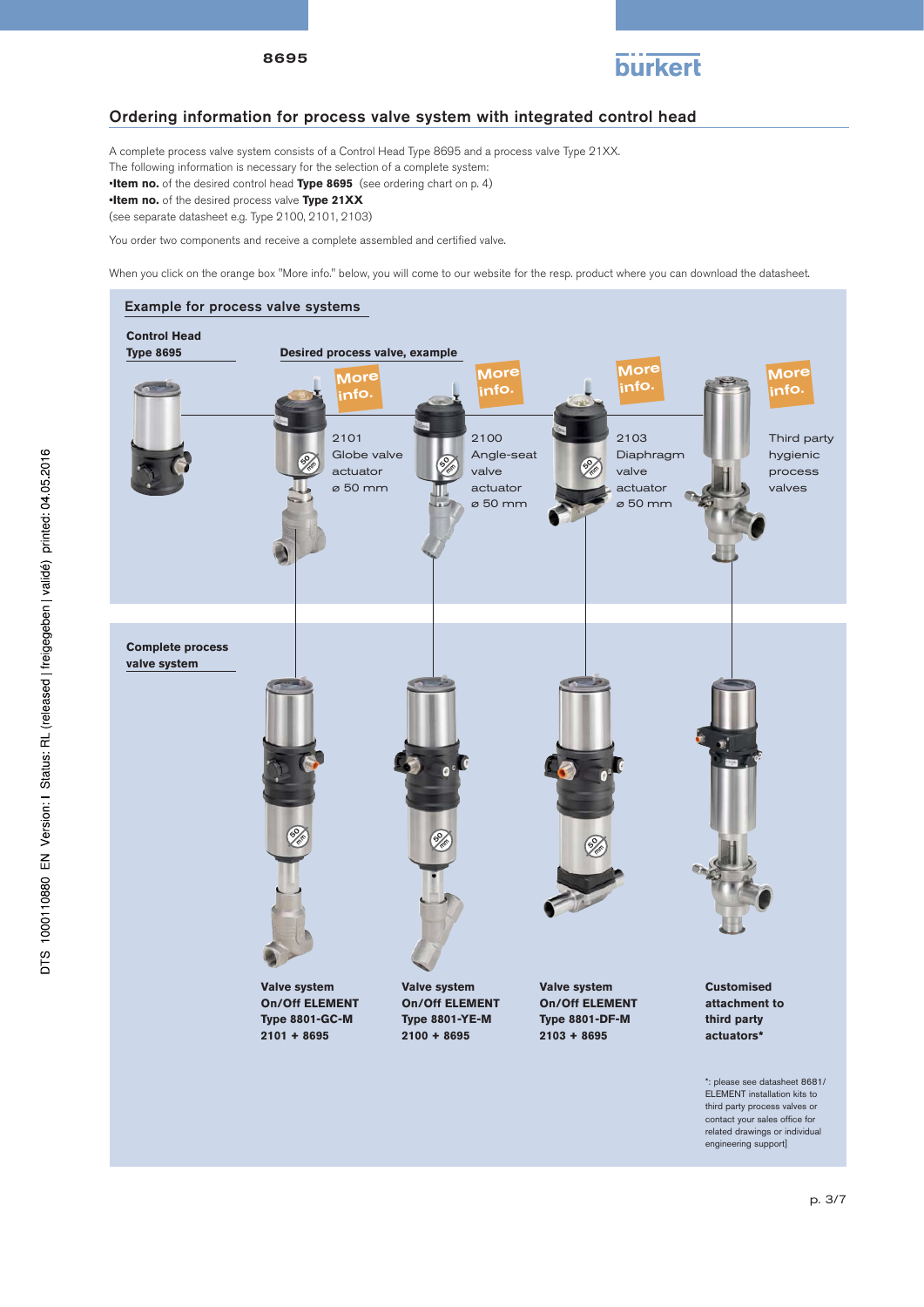

#### Ordering information for process valve system with integrated control head

A complete process valve system consists of a Control Head Type 8695 and a process valve Type 21XX.

The following information is necessary for the selection of a complete system:

•**Item no.** of the desired control head **Type 8695** (see ordering chart on p. 4)

**•Item no.** of the desired process valve **Type 21XX** 

(see separate datasheet e.g. Type 2100, 2101, 2103)

You order two components and receive a complete assembled and certified valve.

When you click on the orange box "More info." below, you will come to our website for the resp. product where you can download the datasheet.



DTS 1000110880 EN Version: I Status: RL (released | freigegeben | validé) printed: 04.05.2016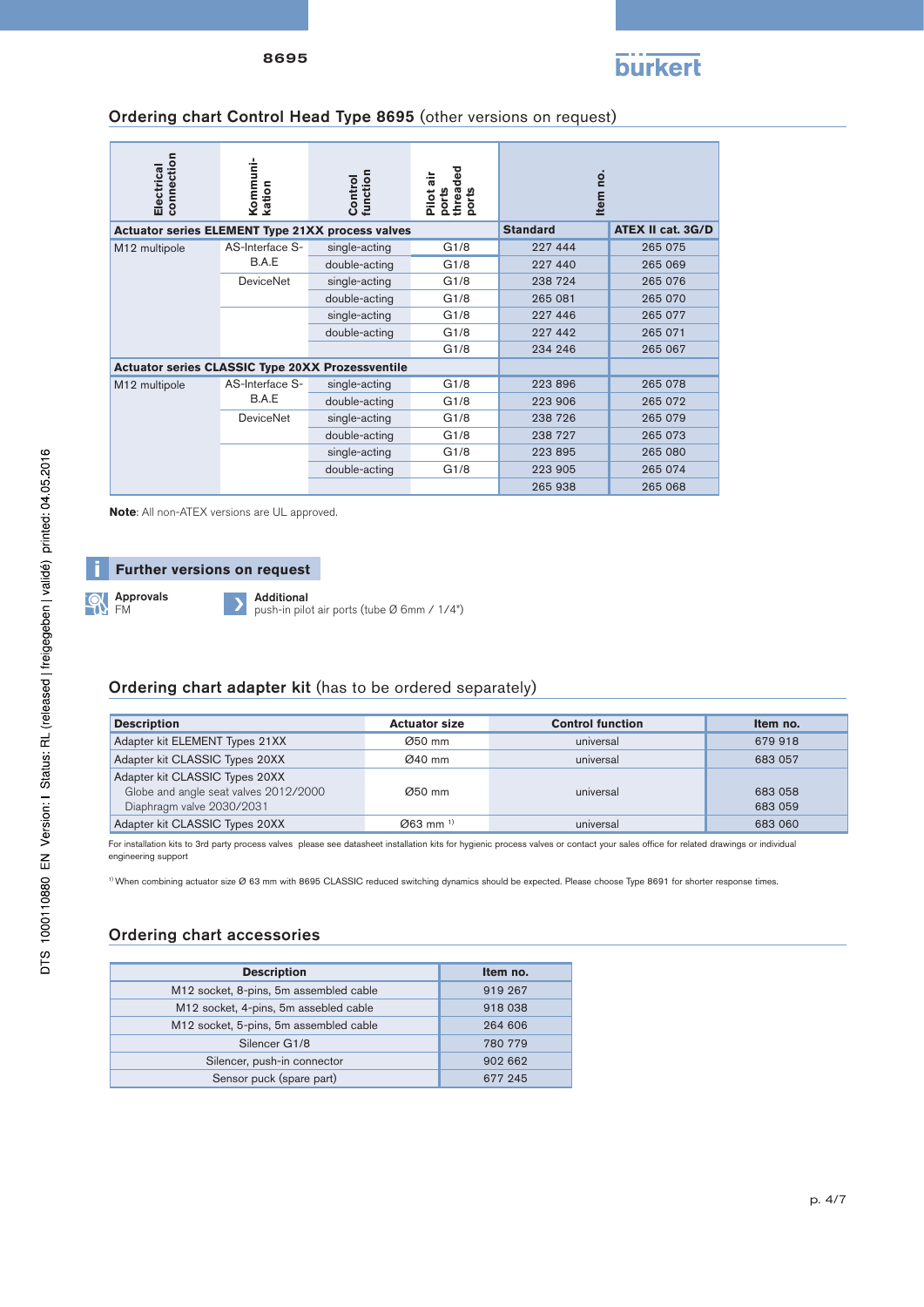

# Ordering chart Control Head Type 8695 (other versions on request)

| connection<br>Electrical                                | Kommuni-<br>kation | function<br>Control | threaded<br>÷<br>ports<br>Pilot<br>ports | Item no.                 |         |
|---------------------------------------------------------|--------------------|---------------------|------------------------------------------|--------------------------|---------|
| <b>Actuator series ELEMENT Type 21XX process valves</b> |                    |                     | <b>Standard</b>                          | <b>ATEX II cat. 3G/D</b> |         |
| M12 multipole                                           | AS-Interface S-    | single-acting       | G1/8                                     | 227 444                  | 265 075 |
|                                                         | B.A.E              | double-acting       | G1/8                                     | 227 440                  | 265 069 |
|                                                         | <b>DeviceNet</b>   | single-acting       | G1/8                                     | 238 724                  | 265 076 |
|                                                         |                    | double-acting       | G1/8                                     | 265 081                  | 265 070 |
|                                                         |                    | single-acting       | G1/8                                     | 227 446                  | 265 077 |
|                                                         |                    | double-acting       | G1/8                                     | 227 442                  | 265 071 |
|                                                         |                    |                     | G1/8                                     | 234 246                  | 265 067 |
| <b>Actuator series CLASSIC Type 20XX Prozessventile</b> |                    |                     |                                          |                          |         |
| M12 multipole                                           | AS-Interface S-    | single-acting       | G1/8                                     | 223 896                  | 265 078 |
|                                                         | B.A.E              | double-acting       | G1/8                                     | 223 906                  | 265 072 |
|                                                         | <b>DeviceNet</b>   | single-acting       | G1/8                                     | 238 726                  | 265 079 |
|                                                         |                    | double-acting       | G1/8                                     | 238 727                  | 265 073 |
|                                                         |                    | single-acting       | G1/8                                     | 223 895                  | 265 080 |
|                                                         |                    | double-acting       | G1/8                                     | 223 905                  | 265 074 |
|                                                         |                    |                     |                                          | 265 938                  | 265 068 |

**Note**: All non-ATEX versions are UL approved.

#### **Further versions on request** Additional D

Approvals H) FM

push-in pilot air ports (tube Ø 6mm / 1/4")

## Ordering chart adapter kit (has to be ordered separately)

| <b>Description</b>                                                                                   | <b>Actuator size</b>   | <b>Control function</b> | Item no.           |
|------------------------------------------------------------------------------------------------------|------------------------|-------------------------|--------------------|
| Adapter kit ELEMENT Types 21XX                                                                       | Ø50 mm                 | universal               | 679 918            |
| Adapter kit CLASSIC Types 20XX                                                                       | $Q$ 40 mm              | universal               | 683 057            |
| Adapter kit CLASSIC Types 20XX<br>Globe and angle seat valves 2012/2000<br>Diaphragm valve 2030/2031 | Ø50 mm                 | universal               | 683 058<br>683 059 |
| Adapter kit CLASSIC Types 20XX                                                                       | $Q63$ mm <sup>1)</sup> | universal               | 683 060            |

I

For installation kits to 3rd party process valves please see datasheet installation kits for hygienic process valves or contact your sales office for related drawings or individual engineering support

1) When combining actuator size Ø 63 mm with 8695 CLASSIC reduced switching dynamics should be expected. Please choose Type 8691 for shorter response times.

## Ordering chart accessories

| <b>Description</b>                     | Item no. |
|----------------------------------------|----------|
| M12 socket, 8-pins, 5m assembled cable | 919 267  |
| M12 socket, 4-pins, 5m assebled cable  | 918 038  |
| M12 socket, 5-pins, 5m assembled cable | 264 606  |
| Silencer G1/8                          | 780 779  |
| Silencer, push-in connector            | 902 662  |
| Sensor puck (spare part)               | 677 245  |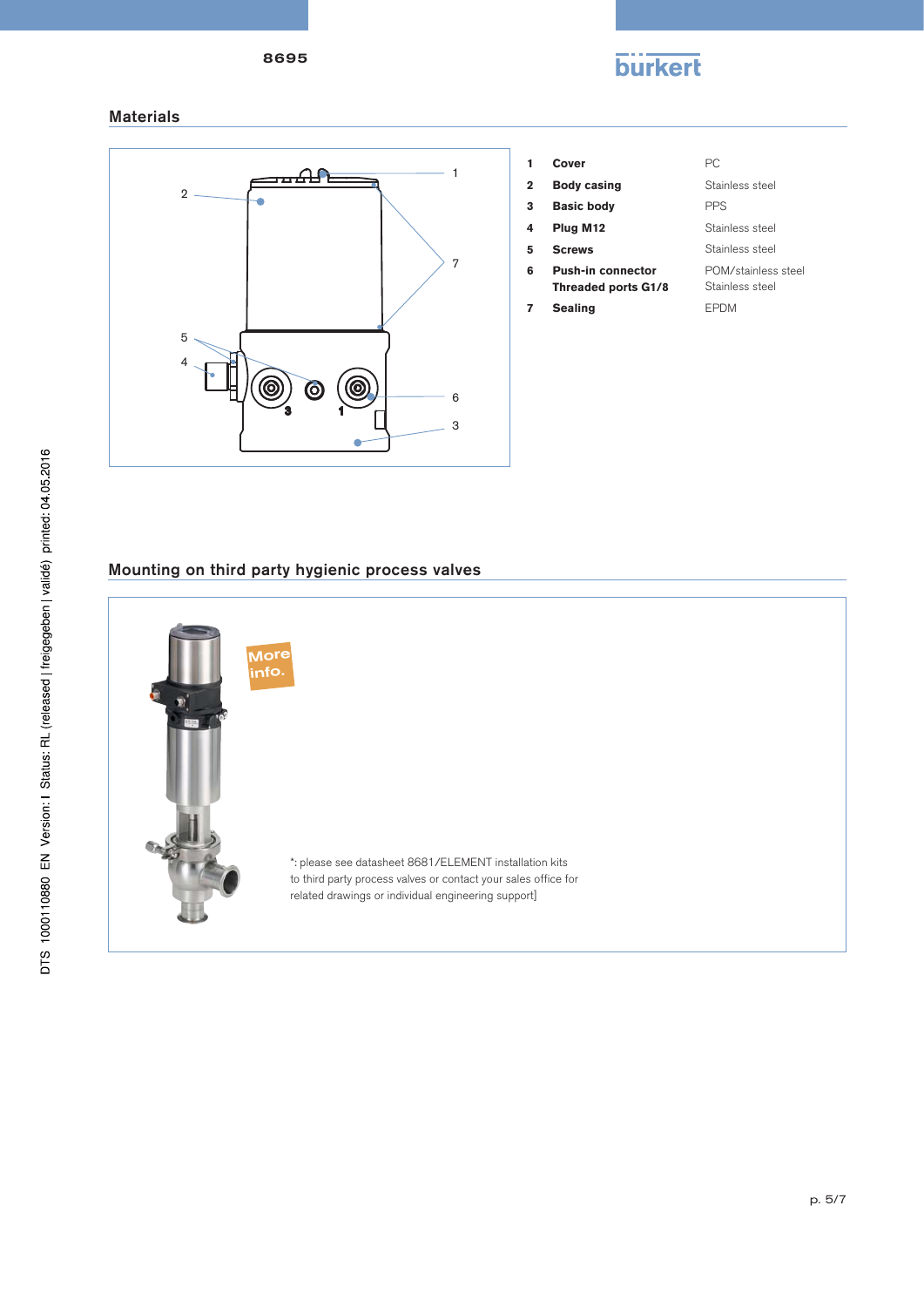

**1** Cover **2** Body casing **3** Basic body **4** Plug M12 **5** Screws

**7** Sealing

**6 Push-in connector**

## Materials



| Cover                                           | PC.                                    |
|-------------------------------------------------|----------------------------------------|
| <b>Body casing</b>                              | Stainless steel                        |
| <b>Basic body</b>                               | <b>PPS</b>                             |
| Plug M <sub>12</sub>                            | Stainless steel                        |
| <b>Screws</b>                                   | Stainless steel                        |
| <b>Push-in connector</b><br>Threaded ports G1/8 | POM/stainless steel<br>Stainless steel |
| Sealing                                         | FPDM                                   |

# Mounting on third party hygienic process valves

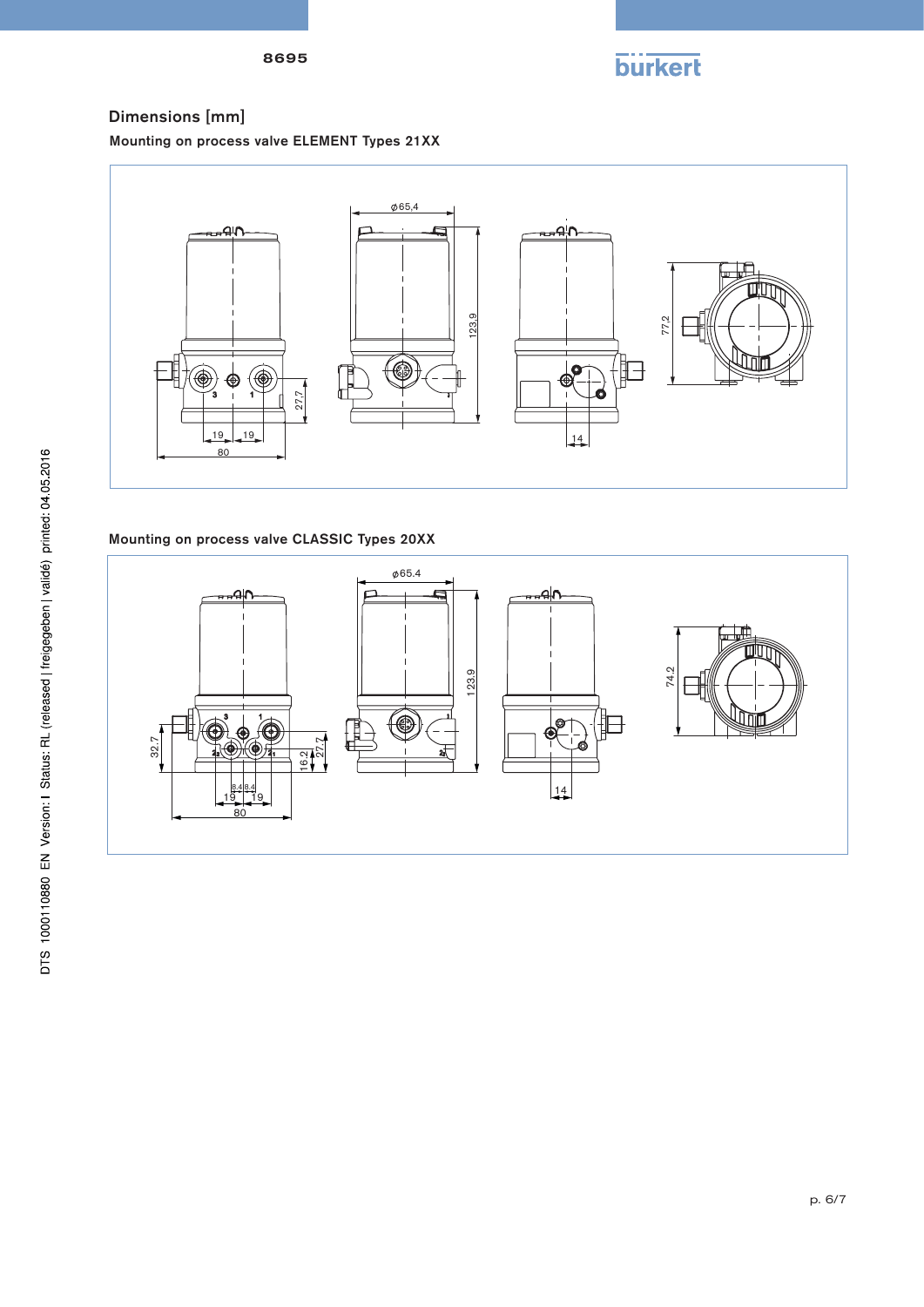8695



# Dimensions [mm]

Mounting on process valve ELEMENT Types 21XX



# Mounting on process valve CLASSIC Types 20XX